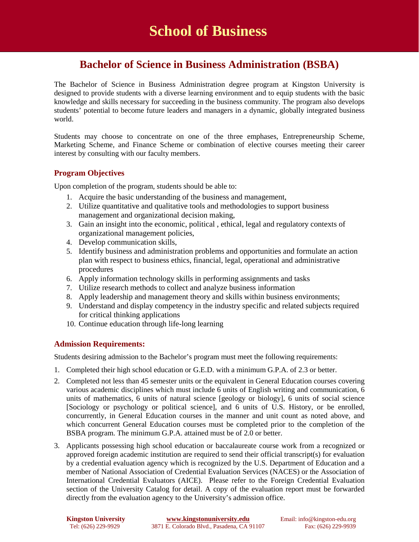# **Bachelor of Science in Business Administration (BSBA)**

The Bachelor of Science in Business Administration degree program at Kingston University is designed to provide students with a diverse learning environment and to equip students with the basic knowledge and skills necessary for succeeding in the business community. The program also develops students' potential to become future leaders and managers in a dynamic, globally integrated business world.

Students may choose to concentrate on one of the three emphases, Entrepreneurship Scheme, Marketing Scheme, and Finance Scheme or combination of elective courses meeting their career interest by consulting with our faculty members.

## **Program Objectives**

Upon completion of the program, students should be able to:

- 1. Acquire the basic understanding of the business and management,
- 2. Utilize quantitative and qualitative tools and methodologies to support business management and organizational decision making,
- 3. Gain an insight into the economic, political , ethical, legal and regulatory contexts of organizational management policies,
- 4. Develop communication skills,
- 5. Identify business and administration problems and opportunities and formulate an action plan with respect to business ethics, financial, legal, operational and administrative procedures
- 6. Apply information technology skills in performing assignments and tasks
- 7. Utilize research methods to collect and analyze business information
- 8. Apply leadership and management theory and skills within business environments;
- 9. Understand and display competency in the industry specific and related subjects required for critical thinking applications
- 10. Continue education through life-long learning

## **Admission Requirements:**

Students desiring admission to the Bachelor's program must meet the following requirements:

- 1. Completed their high school education or G.E.D. with a minimum G.P.A. of 2.3 or better.
- 2. Completed not less than 45 semester units or the equivalent in General Education courses covering various academic disciplines which must include 6 units of English writing and communication, 6 units of mathematics, 6 units of natural science [geology or biology], 6 units of social science [Sociology or psychology or political science], and 6 units of U.S. History, or be enrolled, concurrently, in General Education courses in the manner and unit count as noted above, and which concurrent General Education courses must be completed prior to the completion of the BSBA program. The minimum G.P.A. attained must be of 2.0 or better.
- 3. Applicants possessing high school education or baccalaureate course work from a recognized or approved foreign academic institution are required to send their official transcript(s) for evaluation by a credential evaluation agency which is recognized by the U.S. Department of Education and a member of National Association of Credential Evaluation Services (NACES) or the Association of International Credential Evaluators (AICE). Please refer to the Foreign Credential Evaluation section of the University Catalog for detail. A copy of the evaluation report must be forwarded directly from the evaluation agency to the University's admission office.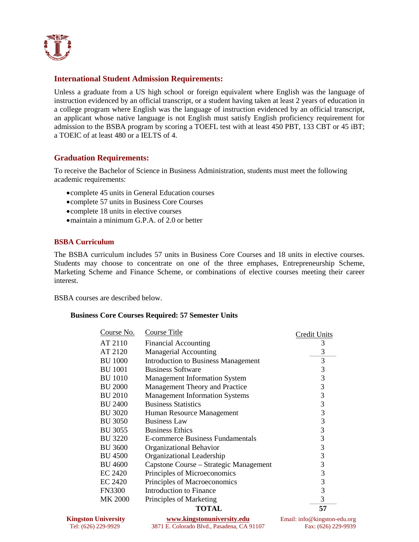

### **International Student Admission Requirements:**

Unless a graduate from a US high school or foreign equivalent where English was the language of instruction evidenced by an official transcript, or a student having taken at least 2 years of education in a college program where English was the language of instruction evidenced by an official transcript, an applicant whose native language is not English must satisfy English proficiency requirement for admission to the BSBA program by scoring a TOEFL test with at least 450 PBT, 133 CBT or 45 iBT; a TOEIC of at least 480 or a IELTS of 4.

## **Graduation Requirements:**

To receive the Bachelor of Science in Business Administration, students must meet the following academic requirements:

- •complete 45 units in General Education courses
- •complete 57 units in Business Core Courses
- •complete 18 units in elective courses
- maintain a minimum G.P.A. of 2.0 or better

#### **BSBA Curriculum**

The BSBA curriculum includes 57 units in Business Core Courses and 18 units in elective courses. Students may choose to concentrate on one of the three emphases, Entrepreneurship Scheme, Marketing Scheme and Finance Scheme, or combinations of elective courses meeting their career interest.

BSBA courses are described below.

#### **Business Core Courses Required: 57 Semester Units**

| Course No.     | Course Title                               | <b>Credit Units</b> |
|----------------|--------------------------------------------|---------------------|
| AT 2110        | <b>Financial Accounting</b>                | 3                   |
| AT 2120        | <b>Managerial Accounting</b>               | 3                   |
| <b>BU 1000</b> | <b>Introduction to Business Management</b> | 3                   |
| <b>BU 1001</b> | <b>Business Software</b>                   | 3                   |
| <b>BU 1010</b> | <b>Management Information System</b>       | 3                   |
| <b>BU 2000</b> | Management Theory and Practice             | 3                   |
| <b>BU 2010</b> | <b>Management Information Systems</b>      | 3                   |
| <b>BU 2400</b> | <b>Business Statistics</b>                 | 3                   |
| <b>BU 3020</b> | Human Resource Management                  | 3                   |
| <b>BU 3050</b> | <b>Business Law</b>                        | 3                   |
| <b>BU 3055</b> | <b>Business Ethics</b>                     | 3                   |
| <b>BU 3220</b> | E-commerce Business Fundamentals           | 3                   |
| <b>BU 3600</b> | Organizational Behavior                    | 3                   |
| <b>BU 4500</b> | Organizational Leadership                  | 3                   |
| <b>BU 4600</b> | Capstone Course – Strategic Management     | 3                   |
| EC 2420        | Principles of Microeconomics               | 3                   |
| EC 2420        | Principles of Macroeconomics               | 3                   |
| <b>FN3300</b>  | Introduction to Finance                    | 3                   |
| <b>MK 2000</b> | Principles of Marketing                    | 3                   |
|                | <b>TOTAL</b>                               | 57                  |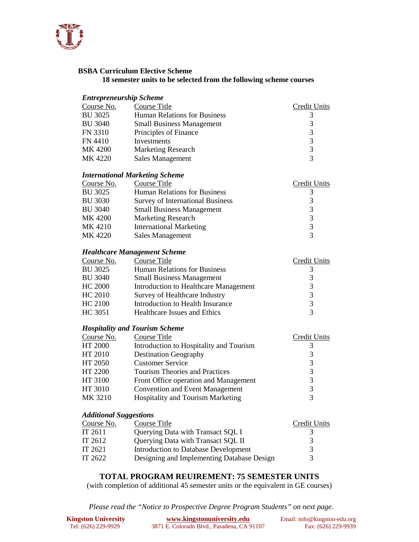

#### **BSBA Curriculum Elective Scheme 18 semester units to be selected from the following scheme courses**

#### *Entrepreneurship Scheme*

| Course No.     | Course Title                        | Credit Units           |
|----------------|-------------------------------------|------------------------|
| <b>BU 3025</b> | <b>Human Relations for Business</b> |                        |
| <b>BU 3040</b> | <b>Small Business Management</b>    | 3                      |
| FN 3310        | Principles of Finance               | 3                      |
| FN 4410        | Investments                         | 3                      |
| MK 4200        | <b>Marketing Research</b>           | 3                      |
| MK 4220        | <b>Sales Management</b>             | $\mathbf{\mathcal{R}}$ |

#### *International Marketing Scheme*

| Course No.     | Course Title                            | Credit Units           |
|----------------|-----------------------------------------|------------------------|
| <b>BU 3025</b> | <b>Human Relations for Business</b>     |                        |
| <b>BU 3030</b> | <b>Survey of International Business</b> | 3                      |
| <b>BU 3040</b> | <b>Small Business Management</b>        | 3                      |
| MK 4200        | <b>Marketing Research</b>               | 3                      |
| MK 4210        | <b>International Marketing</b>          | 3                      |
| MK 4220        | <b>Sales Management</b>                 | $\mathbf{\mathcal{R}}$ |

#### *Healthcare Management Scheme*

| Course No.     | Course Title                          | Credit Units      |
|----------------|---------------------------------------|-------------------|
| <b>BU 3025</b> | <b>Human Relations for Business</b>   | 3                 |
| <b>BU 3040</b> | <b>Small Business Management</b>      | 3                 |
| HC 2000        | Introduction to Healthcare Management | 3                 |
| HC 2010        | Survey of Healthcare Industry         | 3                 |
| HC 2100        | Introduction to Health Insurance      | 3                 |
| HC 3051        | Healthcare Issues and Ethics          | $\mathbf{\Omega}$ |

#### *Hospitality and Tourism Scheme*

| Course No. | Course Title                            | Credit Units |
|------------|-----------------------------------------|--------------|
| HT 2000    | Introduction to Hospitality and Tourism |              |
| HT 2010    | <b>Destination Geography</b>            | 3            |
| HT 2050    | <b>Customer Service</b>                 | 3            |
| HT 2200    | <b>Tourism Theories and Practices</b>   | 3            |
| HT 3100    | Front Office operation and Management   | 3            |
| HT 3010    | <b>Convention and Event Management</b>  | 3            |
| MK 3210    | Hospitality and Tourism Marketing       |              |
|            |                                         |              |

#### *Additional Suggestions*

| Course Title                               | Credit Units |
|--------------------------------------------|--------------|
| Querying Data with Transact SQL I          |              |
| Querying Data with Transact SQL II         | 3            |
| Introduction to Database Development       |              |
| Designing and Implementing Database Design | 3            |
|                                            |              |

## **TOTAL PROGRAM REUIREMENT: 75 SEMESTER UNITS**

(with completion of additional 45 semester units or the equivalent in GE courses)

*Please read the "Notice to Prospective Degree Program Students" on next page.*